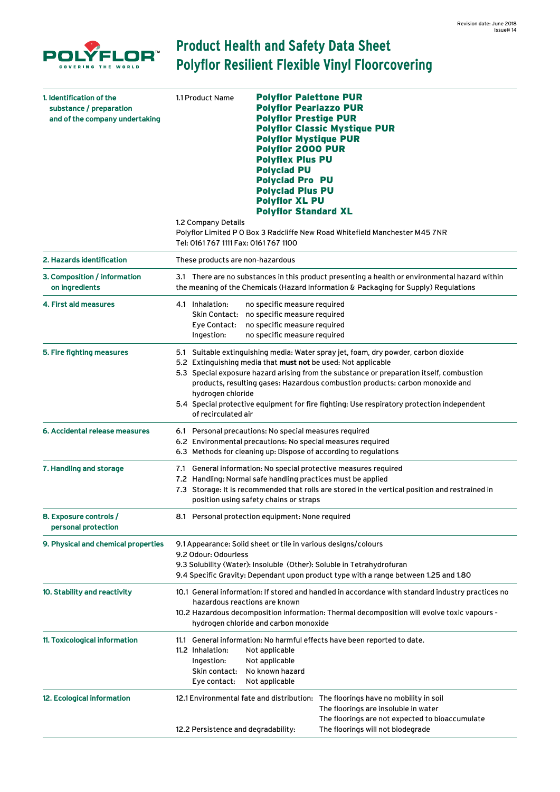

## **Product Health and Safety Data Sheet Polyflor Resilient Flexible Vinyl Floorcovering**

| 1. Identification of the<br>substance / preparation<br>and of the company undertaking | 1.1 Product Name                                                                                                                                                                                                                                                           | <b>Polyflor Palettone PUR</b><br><b>Polyflor Pearlazzo PUR</b><br><b>Polyflor Prestige PUR</b><br><b>Polyflor Classic Mystique PUR</b><br><b>Polyflor Mystique PUR</b><br><b>Polyflor 2000 PUR</b><br><b>Polyflex Plus PU</b><br><b>Polyclad PU</b><br><b>Polyciad Pro PU</b><br><b>Polyciad Plus PU</b><br><b>Polyflor XL PU</b><br><b>Polyflor Standard XL</b>                                                                |
|---------------------------------------------------------------------------------------|----------------------------------------------------------------------------------------------------------------------------------------------------------------------------------------------------------------------------------------------------------------------------|---------------------------------------------------------------------------------------------------------------------------------------------------------------------------------------------------------------------------------------------------------------------------------------------------------------------------------------------------------------------------------------------------------------------------------|
|                                                                                       | 1.2 Company Details<br>Tel: 0161 767 1111 Fax: 0161 767 1100                                                                                                                                                                                                               | Polyflor Limited P O Box 3 Radcliffe New Road Whitefield Manchester M45 7NR                                                                                                                                                                                                                                                                                                                                                     |
| 2. Hazards identification                                                             | These products are non-hazardous                                                                                                                                                                                                                                           |                                                                                                                                                                                                                                                                                                                                                                                                                                 |
| 3. Composition / information<br>on ingredients                                        | 3.1 There are no substances in this product presenting a health or environmental hazard within<br>the meaning of the Chemicals (Hazard Information & Packaging for Supply) Regulations                                                                                     |                                                                                                                                                                                                                                                                                                                                                                                                                                 |
| 4. First aid measures                                                                 | 4.1 Inhalation:<br>Eye Contact:<br>Ingestion:                                                                                                                                                                                                                              | no specific measure required<br>Skin Contact: no specific measure required<br>no specific measure required<br>no specific measure required                                                                                                                                                                                                                                                                                      |
| 5. Fire fighting measures                                                             | hydrogen chloride<br>of recirculated air                                                                                                                                                                                                                                   | 5.1 Suitable extinguishing media: Water spray jet, foam, dry powder, carbon dioxide<br>5.2 Extinguishing media that must not be used: Not applicable<br>5.3 Special exposure hazard arising from the substance or preparation itself, combustion<br>products, resulting gases: Hazardous combustion products: carbon monoxide and<br>5.4 Special protective equipment for fire fighting: Use respiratory protection independent |
| 6. Accidental release measures                                                        |                                                                                                                                                                                                                                                                            | 6.1 Personal precautions: No special measures required<br>6.2 Environmental precautions: No special measures required<br>6.3 Methods for cleaning up: Dispose of according to regulations                                                                                                                                                                                                                                       |
| 7. Handling and storage                                                               |                                                                                                                                                                                                                                                                            | 7.1 General information: No special protective measures required<br>7.2 Handling: Normal safe handling practices must be applied<br>7.3 Storage: It is recommended that rolls are stored in the vertical position and restrained in<br>position using safety chains or straps                                                                                                                                                   |
| 8. Exposure controls /<br>personal protection                                         |                                                                                                                                                                                                                                                                            | 8.1 Personal protection equipment: None required                                                                                                                                                                                                                                                                                                                                                                                |
| 9. Physical and chemical properties                                                   | 9.1 Appearance: Solid sheet or tile in various designs/colours<br>9.2 Odour: Odourless<br>9.3 Solubility (Water): Insoluble (Other): Soluble in Tetrahydrofuran<br>9.4 Specific Gravity: Dependant upon product type with a range between 1.25 and 1.80                    |                                                                                                                                                                                                                                                                                                                                                                                                                                 |
| 10. Stability and reactivity                                                          | 10.1 General information: If stored and handled in accordance with standard industry practices no<br>hazardous reactions are known<br>10.2 Hazardous decomposition information: Thermal decomposition will evolve toxic vapours -<br>hydrogen chloride and carbon monoxide |                                                                                                                                                                                                                                                                                                                                                                                                                                 |
| 11. Toxicological information                                                         | 11.2 Inhalation:<br>Ingestion:<br>Skin contact:<br>Eye contact:                                                                                                                                                                                                            | 11.1 General information: No harmful effects have been reported to date.<br>Not applicable<br>Not applicable<br>No known hazard<br>Not applicable                                                                                                                                                                                                                                                                               |
| 12. Ecological information                                                            | 12.2 Persistence and degradability:                                                                                                                                                                                                                                        | 12.1 Environmental fate and distribution: The floorings have no mobility in soil<br>The floorings are insoluble in water<br>The floorings are not expected to bioaccumulate<br>The floorings will not biodegrade                                                                                                                                                                                                                |